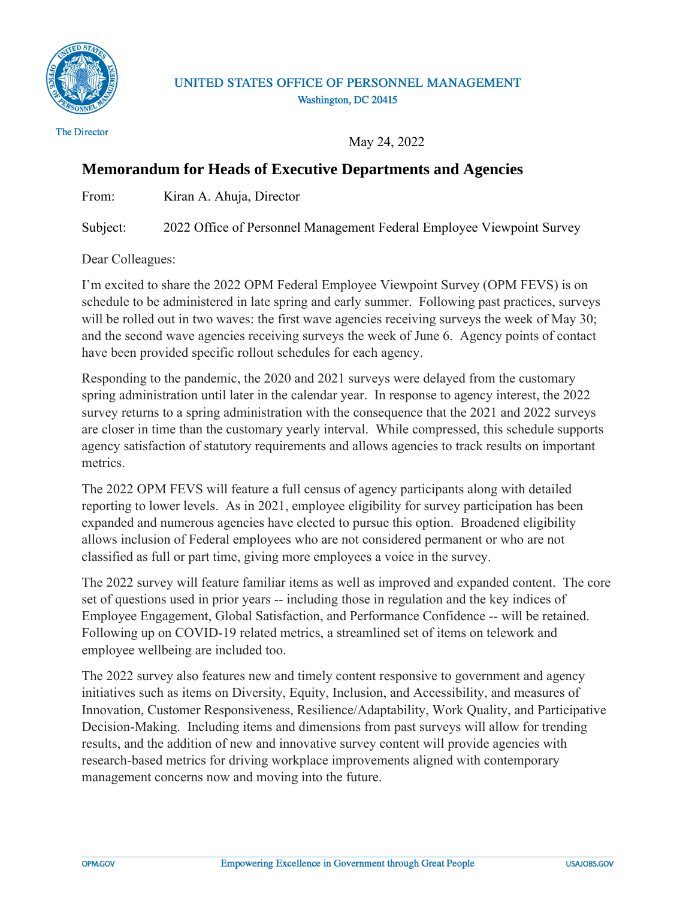

## UNITED STATES OFFICE OF PERSONNEL MANAGEMENT Washington, DC 20415

**The Director** 

May 24, 2022

## **Memorandum for Heads of Executive Departments and Agencies**

From: Kiran A. Ahuja, Director

Subject: 2022 Office of Personnel Management Federal Employee Viewpoint Survey

Dear Colleagues:

I'm excited to share the 2022 OPM Federal Employee Viewpoint Survey (OPM FEVS) is on schedule to be administered in late spring and early summer. Following past practices, surveys will be rolled out in two waves: the first wave agencies receiving surveys the week of May 30; and the second wave agencies receiving surveys the week of June 6. Agency points of contact have been provided specific rollout schedules for each agency.

Responding to the pandemic, the 2020 and 2021 surveys were delayed from the customary spring administration until later in the calendar year. In response to agency interest, the 2022 survey returns to a spring administration with the consequence that the 2021 and 2022 surveys are closer in time than the customary yearly interval. While compressed, this schedule supports agency satisfaction of statutory requirements and allows agencies to track results on important metrics.

The 2022 OPM FEVS will feature a full census of agency participants along with detailed reporting to lower levels. As in 2021, employee eligibility for survey participation has been expanded and numerous agencies have elected to pursue this option. Broadened eligibility allows inclusion of Federal employees who are not considered permanent or who are not classified as full or part time, giving more employees a voice in the survey.

The 2022 survey will feature familiar items as well as improved and expanded content. The core set of questions used in prior years -- including those in regulation and the key indices of Employee Engagement, Global Satisfaction, and Performance Confidence -- will be retained. Following up on COVID-19 related metrics, a streamlined set of items on telework and employee wellbeing are included too.

The 2022 survey also features new and timely content responsive to government and agency initiatives such as items on Diversity, Equity, Inclusion, and Accessibility, and measures of Innovation, Customer Responsiveness, Resilience/Adaptability, Work Quality, and Participative Decision-Making. Including items and dimensions from past surveys will allow for trending results, and the addition of new and innovative survey content will provide agencies with research-based metrics for driving workplace improvements aligned with contemporary management concerns now and moving into the future.